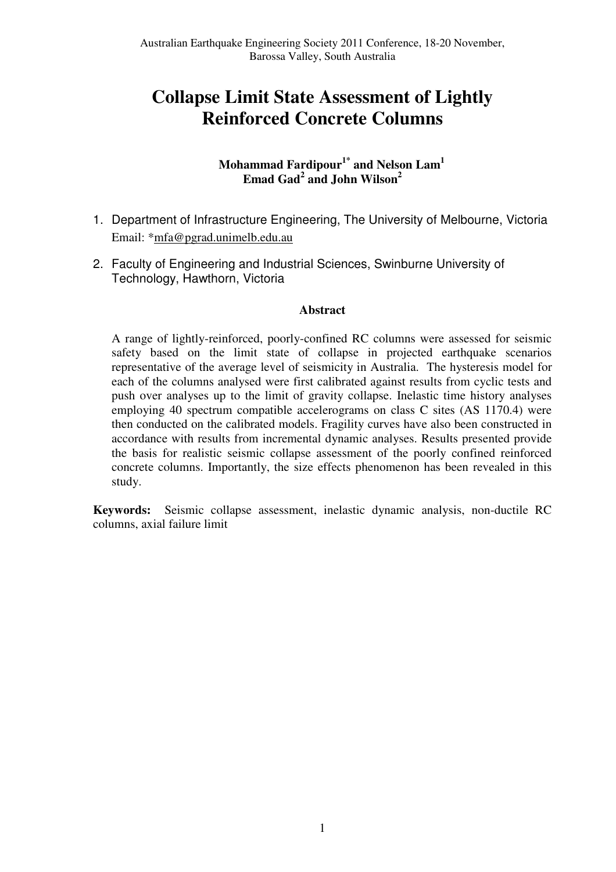# **Collapse Limit State Assessment of Lightly Reinforced Concrete Columns**

# **Mohammad Fardipour1\* and Nelson Lam<sup>1</sup> Emad Gad<sup>2</sup> and John Wilson<sup>2</sup>**

- 1. Department of Infrastructure Engineering, The University of Melbourne, Victoria Email: \*mfa@pgrad.unimelb.edu.au
- 2. Faculty of Engineering and Industrial Sciences, Swinburne University of Technology, Hawthorn, Victoria

## **Abstract**

A range of lightly-reinforced, poorly-confined RC columns were assessed for seismic safety based on the limit state of collapse in projected earthquake scenarios representative of the average level of seismicity in Australia. The hysteresis model for each of the columns analysed were first calibrated against results from cyclic tests and push over analyses up to the limit of gravity collapse. Inelastic time history analyses employing 40 spectrum compatible accelerograms on class C sites (AS 1170.4) were then conducted on the calibrated models. Fragility curves have also been constructed in accordance with results from incremental dynamic analyses. Results presented provide the basis for realistic seismic collapse assessment of the poorly confined reinforced concrete columns. Importantly, the size effects phenomenon has been revealed in this study.

**Keywords:** Seismic collapse assessment, inelastic dynamic analysis, non-ductile RC columns, axial failure limit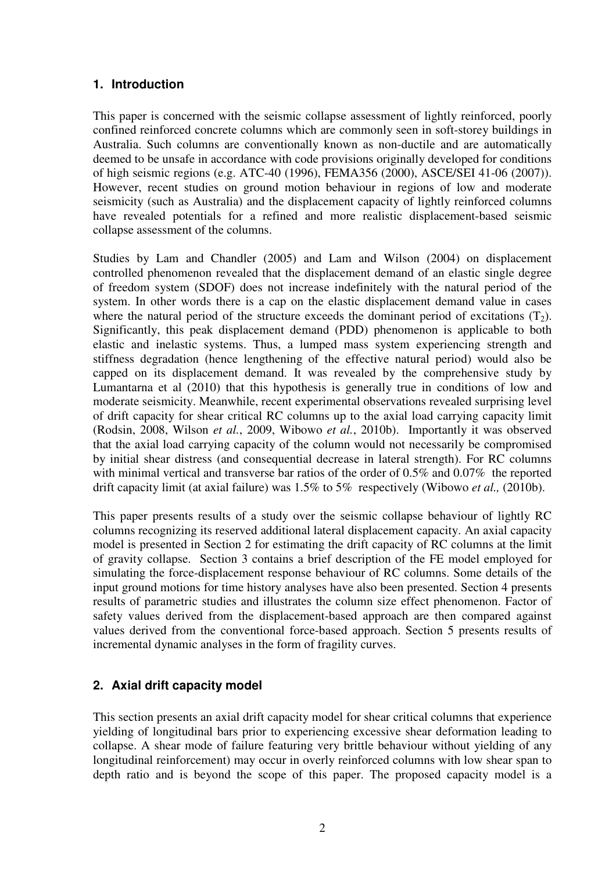# **1. Introduction**

This paper is concerned with the seismic collapse assessment of lightly reinforced, poorly confined reinforced concrete columns which are commonly seen in soft-storey buildings in Australia. Such columns are conventionally known as non-ductile and are automatically deemed to be unsafe in accordance with code provisions originally developed for conditions of high seismic regions (e.g. ATC-40 (1996), FEMA356 (2000), ASCE/SEI 41-06 (2007)). However, recent studies on ground motion behaviour in regions of low and moderate seismicity (such as Australia) and the displacement capacity of lightly reinforced columns have revealed potentials for a refined and more realistic displacement-based seismic collapse assessment of the columns.

Studies by Lam and Chandler (2005) and Lam and Wilson (2004) on displacement controlled phenomenon revealed that the displacement demand of an elastic single degree of freedom system (SDOF) does not increase indefinitely with the natural period of the system. In other words there is a cap on the elastic displacement demand value in cases where the natural period of the structure exceeds the dominant period of excitations  $(T_2)$ . Significantly, this peak displacement demand (PDD) phenomenon is applicable to both elastic and inelastic systems. Thus, a lumped mass system experiencing strength and stiffness degradation (hence lengthening of the effective natural period) would also be capped on its displacement demand. It was revealed by the comprehensive study by Lumantarna et al (2010) that this hypothesis is generally true in conditions of low and moderate seismicity. Meanwhile, recent experimental observations revealed surprising level of drift capacity for shear critical RC columns up to the axial load carrying capacity limit (Rodsin, 2008, Wilson *et al.*, 2009, Wibowo *et al.*, 2010b). Importantly it was observed that the axial load carrying capacity of the column would not necessarily be compromised by initial shear distress (and consequential decrease in lateral strength). For RC columns with minimal vertical and transverse bar ratios of the order of 0.5% and 0.07% the reported drift capacity limit (at axial failure) was 1.5% to 5% respectively (Wibowo *et al.,* (2010b).

This paper presents results of a study over the seismic collapse behaviour of lightly RC columns recognizing its reserved additional lateral displacement capacity. An axial capacity model is presented in Section 2 for estimating the drift capacity of RC columns at the limit of gravity collapse. Section 3 contains a brief description of the FE model employed for simulating the force-displacement response behaviour of RC columns. Some details of the input ground motions for time history analyses have also been presented. Section 4 presents results of parametric studies and illustrates the column size effect phenomenon. Factor of safety values derived from the displacement-based approach are then compared against values derived from the conventional force-based approach. Section 5 presents results of incremental dynamic analyses in the form of fragility curves.

# **2. Axial drift capacity model**

This section presents an axial drift capacity model for shear critical columns that experience yielding of longitudinal bars prior to experiencing excessive shear deformation leading to collapse. A shear mode of failure featuring very brittle behaviour without yielding of any longitudinal reinforcement) may occur in overly reinforced columns with low shear span to depth ratio and is beyond the scope of this paper. The proposed capacity model is a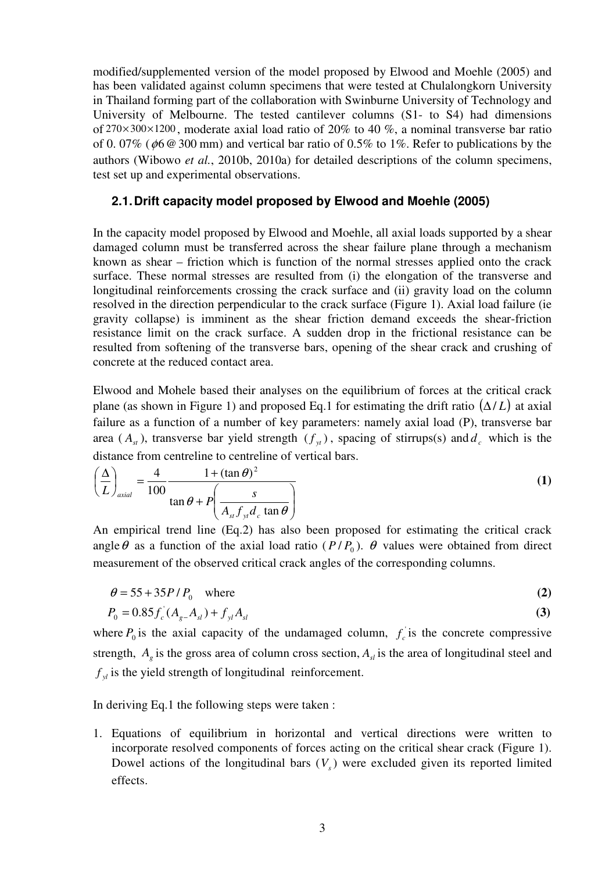modified/supplemented version of the model proposed by Elwood and Moehle (2005) and has been validated against column specimens that were tested at Chulalongkorn University in Thailand forming part of the collaboration with Swinburne University of Technology and University of Melbourne. The tested cantilever columns (S1- to S4) had dimensions of 270× 300×1200 , moderate axial load ratio of 20% to 40 %, a nominal transverse bar ratio of 0.07% ( $\phi$ 6 @ 300 mm) and vertical bar ratio of 0.5% to 1%. Refer to publications by the authors (Wibowo *et al.*, 2010b, 2010a) for detailed descriptions of the column specimens, test set up and experimental observations.

## **2.1. Drift capacity model proposed by Elwood and Moehle (2005)**

In the capacity model proposed by Elwood and Moehle, all axial loads supported by a shear damaged column must be transferred across the shear failure plane through a mechanism known as shear – friction which is function of the normal stresses applied onto the crack surface. These normal stresses are resulted from (i) the elongation of the transverse and longitudinal reinforcements crossing the crack surface and (ii) gravity load on the column resolved in the direction perpendicular to the crack surface (Figure 1). Axial load failure (ie gravity collapse) is imminent as the shear friction demand exceeds the shear-friction resistance limit on the crack surface. A sudden drop in the frictional resistance can be resulted from softening of the transverse bars, opening of the shear crack and crushing of concrete at the reduced contact area.

Elwood and Mohele based their analyses on the equilibrium of forces at the critical crack plane (as shown in Figure 1) and proposed Eq.1 for estimating the drift ratio  $(\Delta/L)$  at axial failure as a function of a number of key parameters: namely axial load (P), transverse bar area ( $A_{st}$ ), transverse bar yield strength ( $f_{st}$ ), spacing of stirrups(s) and  $d_c$  which is the distance from centreline to centreline of vertical bars.

$$
\left(\frac{\Delta}{L}\right)_{axial} = \frac{4}{100} \frac{1 + (\tan \theta)^2}{\tan \theta + P\left(\frac{s}{A_{st}f_{yt}d_c \tan \theta}\right)}
$$
(1)

An empirical trend line (Eq.2) has also been proposed for estimating the critical crack angle  $\theta$  as a function of the axial load ratio ( $P/P_0$ ).  $\theta$  values were obtained from direct measurement of the observed critical crack angles of the corresponding columns.

$$
\theta = 55 + 35P/P_0 \quad \text{where} \tag{2}
$$

$$
P_0 = 0.85 f_c (A_{g} - A_{sl}) + f_{yl} A_{sl}
$$
\n(3)

where  $P_0$  is the axial capacity of the undamaged column,  $f_c$  is the concrete compressive strength,  $A_g$  is the gross area of column cross section,  $A_{sl}$  is the area of longitudinal steel and  $f_y$  is the yield strength of longitudinal reinforcement.

In deriving Eq.1 the following steps were taken :

1. Equations of equilibrium in horizontal and vertical directions were written to incorporate resolved components of forces acting on the critical shear crack (Figure 1). Dowel actions of the longitudinal bars  $(V_s)$  were excluded given its reported limited effects.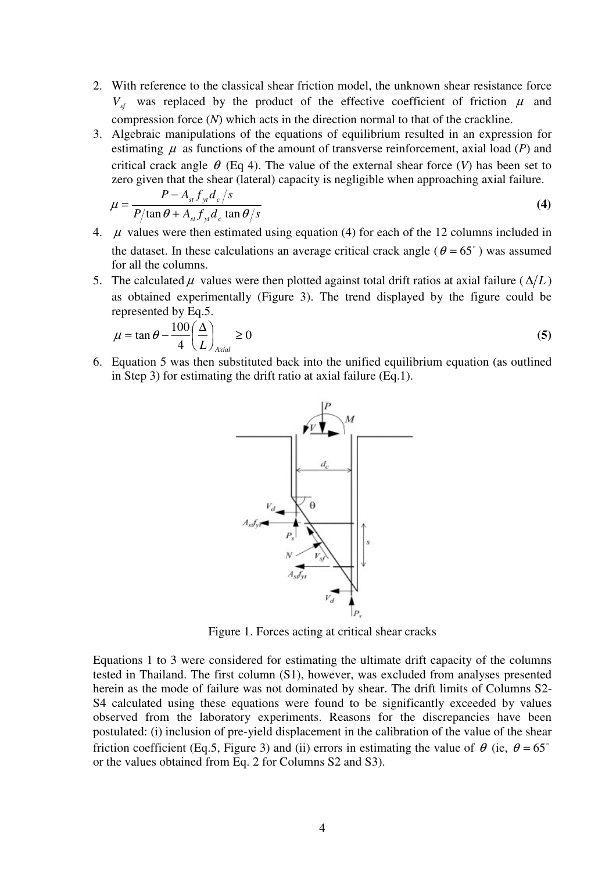- 2. With reference to the classical shear friction model, the unknown shear resistance force  $V_{sf}$  was replaced by the product of the effective coefficient of friction  $\mu$  and compression force (*N*) which acts in the direction normal to that of the crackline.
- 3. Algebraic manipulations of the equations of equilibrium resulted in an expression for estimating  $\mu$  as functions of the amount of transverse reinforcement, axial load ( $P$ ) and critical crack angle  $\theta$  (Eq 4). The value of the external shear force (*V*) has been set to zero given that the shear (lateral) capacity is negligible when approaching axial failure.

$$
\mu = \frac{P - A_{st} f_{yt} d_c / s}{P/\tan \theta + A_{st} f_{yt} d_c \tan \theta / s}
$$
(4)

- 4.  $\mu$  values were then estimated using equation (4) for each of the 12 columns included in the dataset. In these calculations an average critical crack angle ( $\theta = 65^{\degree}$ ) was assumed for all the columns.
- 5. The calculated  $\mu$  values were then plotted against total drift ratios at axial failure ( $\Delta/L$ ) as obtained experimentally (Figure 3). The trend displayed by the figure could be represented by Eq.5.

$$
\mu = \tan \theta - \frac{100}{4} \left( \frac{\Delta}{L} \right)_{\text{Axial}} \ge 0 \tag{5}
$$

6. Equation 5 was then substituted back into the unified equilibrium equation (as outlined in Step 3) for estimating the drift ratio at axial failure (Eq.1).



Figure 1. Forces acting at critical shear cracks

Equations 1 to 3 were considered for estimating the ultimate drift capacity of the columns tested in Thailand. The first column (S1), however, was excluded from analyses presented herein as the mode of failure was not dominated by shear. The drift limits of Columns S2- S4 calculated using these equations were found to be significantly exceeded by values observed from the laboratory experiments. Reasons for the discrepancies have been postulated: (i) inclusion of pre-yield displacement in the calibration of the value of the shear friction coefficient (Eq.5, Figure 3) and (ii) errors in estimating the value of  $\theta$  (ie,  $\theta = 65^{\circ}$ or the values obtained from Eq. 2 for Columns S2 and S3).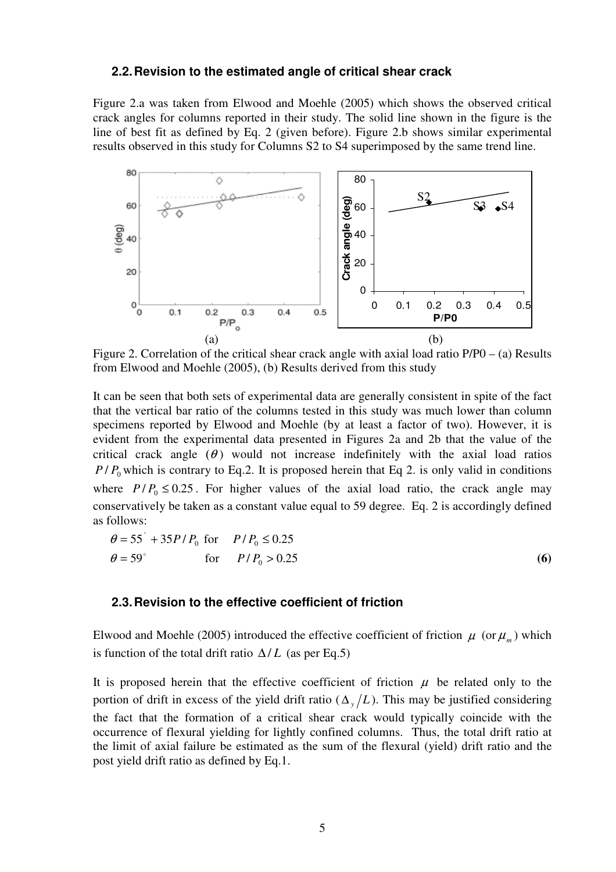#### **2.2. Revision to the estimated angle of critical shear crack**

Figure 2.a was taken from Elwood and Moehle (2005) which shows the observed critical crack angles for columns reported in their study. The solid line shown in the figure is the line of best fit as defined by Eq. 2 (given before). Figure 2.b shows similar experimental results observed in this study for Columns S2 to S4 superimposed by the same trend line.



Figure 2. Correlation of the critical shear crack angle with axial load ratio P/P0 – (a) Results from Elwood and Moehle (2005), (b) Results derived from this study

It can be seen that both sets of experimental data are generally consistent in spite of the fact that the vertical bar ratio of the columns tested in this study was much lower than column specimens reported by Elwood and Moehle (by at least a factor of two). However, it is evident from the experimental data presented in Figures 2a and 2b that the value of the critical crack angle  $(\theta)$  would not increase indefinitely with the axial load ratios  $P/P_0$  which is contrary to Eq.2. It is proposed herein that Eq 2. is only valid in conditions where  $P/P_0 \le 0.25$ . For higher values of the axial load ratio, the crack angle may conservatively be taken as a constant value equal to 59 degree. Eq. 2 is accordingly defined as follows:

$$
\theta = 55^{\circ} + 35P/P_0 \text{ for } P/P_0 \le 0.25
$$
  
\n
$$
\theta = 59^{\circ} \qquad \text{for } P/P_0 > 0.25
$$
 (6)

#### **2.3. Revision to the effective coefficient of friction**

o

Elwood and Moehle (2005) introduced the effective coefficient of friction  $\mu$  (or  $\mu_m$ ) which is function of the total drift ratio  $\Delta/L$  (as per Eq.5)

It is proposed herein that the effective coefficient of friction  $\mu$  be related only to the portion of drift in excess of the yield drift ratio ( $\Delta_y/L$ ). This may be justified considering the fact that the formation of a critical shear crack would typically coincide with the occurrence of flexural yielding for lightly confined columns. Thus, the total drift ratio at the limit of axial failure be estimated as the sum of the flexural (yield) drift ratio and the post yield drift ratio as defined by Eq.1.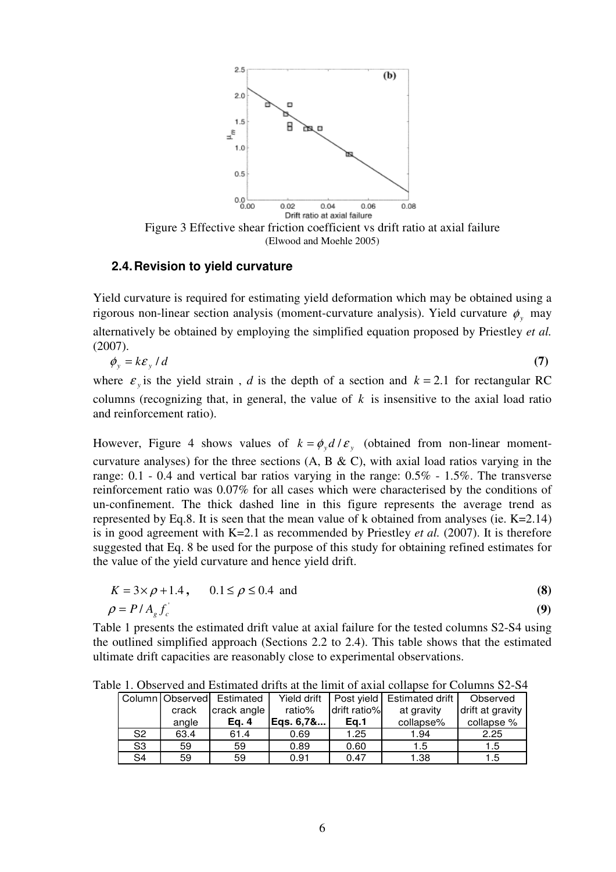

#### **2.4. Revision to yield curvature**

Yield curvature is required for estimating yield deformation which may be obtained using a rigorous non-linear section analysis (moment-curvature analysis). Yield curvature  $\phi$ <sub>y</sub> may alternatively be obtained by employing the simplified equation proposed by Priestley *et al.* (2007).

$$
\phi_{y} = k\epsilon_{y} / d \tag{7}
$$

where  $\varepsilon_y$  is the yield strain, *d* is the depth of a section and  $k = 2.1$  for rectangular RC columns (recognizing that, in general, the value of  $k$  is insensitive to the axial load ratio and reinforcement ratio).

However, Figure 4 shows values of  $k = \phi_y d / \varepsilon_y$  (obtained from non-linear momentcurvature analyses) for the three sections  $(A, B & C)$ , with axial load ratios varying in the range: 0.1 - 0.4 and vertical bar ratios varying in the range: 0.5% - 1.5%. The transverse reinforcement ratio was 0.07% for all cases which were characterised by the conditions of un-confinement. The thick dashed line in this figure represents the average trend as represented by Eq.8. It is seen that the mean value of k obtained from analyses (ie.  $K=2.14$ ) is in good agreement with K=2.1 as recommended by Priestley *et al.* (2007). It is therefore suggested that Eq. 8 be used for the purpose of this study for obtaining refined estimates for the value of the yield curvature and hence yield drift.

$$
K = 3 \times \rho + 1.4, \qquad 0.1 \le \rho \le 0.4 \text{ and}
$$
  
\n
$$
\rho = P/A_g f_c' \tag{9}
$$

Table 1 presents the estimated drift value at axial failure for the tested columns S2-S4 using the outlined simplified approach (Sections 2.2 to 2.4). This table shows that the estimated ultimate drift capacities are reasonably close to experimental observations.

Table 1. Observed and Estimated drifts at the limit of axial collapse for Columns S2-S4

|                |       | Column Observed Estimated | Yield drift |              | Post yield   Estimated drift | Observed         |
|----------------|-------|---------------------------|-------------|--------------|------------------------------|------------------|
|                | crack | crack angle               | ratio%      | drift ratio% | at gravity                   | drift at gravity |
|                | angle | Ea. 4                     | Egs. 6.7&   | Ea.1         | collapse%                    | collapse %       |
| S <sub>2</sub> | 63.4  | 61.4                      | 0.69        | 1.25         | 1.94                         | 2.25             |
| S <sub>3</sub> | 59    | 59                        | 0.89        | 0.60         | 1.5                          | 1.5              |
| S <sub>4</sub> | 59    | 59                        | 0.91        | 0.47         | 1.38                         | 1.5              |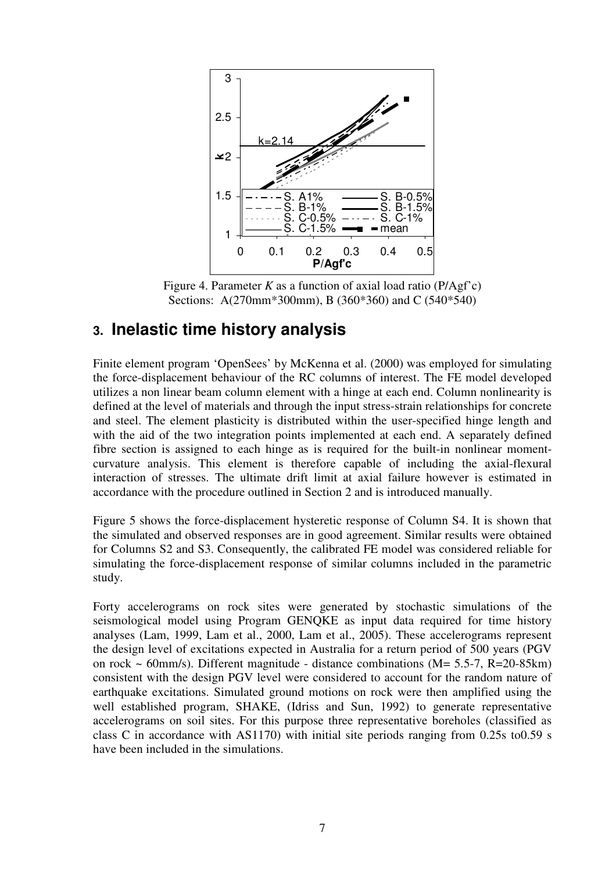

Figure 4. Parameter *K* as a function of axial load ratio (P/Agf'c) Sections: A(270mm\*300mm), B (360\*360) and C (540\*540)

# **3. Inelastic time history analysis**

Finite element program 'OpenSees' by McKenna et al. (2000) was employed for simulating the force-displacement behaviour of the RC columns of interest. The FE model developed utilizes a non linear beam column element with a hinge at each end. Column nonlinearity is defined at the level of materials and through the input stress-strain relationships for concrete and steel. The element plasticity is distributed within the user-specified hinge length and with the aid of the two integration points implemented at each end. A separately defined fibre section is assigned to each hinge as is required for the built-in nonlinear momentcurvature analysis. This element is therefore capable of including the axial-flexural interaction of stresses. The ultimate drift limit at axial failure however is estimated in accordance with the procedure outlined in Section 2 and is introduced manually.

Figure 5 shows the force-displacement hysteretic response of Column S4. It is shown that the simulated and observed responses are in good agreement. Similar results were obtained for Columns S2 and S3. Consequently, the calibrated FE model was considered reliable for simulating the force-displacement response of similar columns included in the parametric study.

Forty accelerograms on rock sites were generated by stochastic simulations of the seismological model using Program GENQKE as input data required for time history analyses (Lam, 1999, Lam et al., 2000, Lam et al., 2005). These accelerograms represent the design level of excitations expected in Australia for a return period of 500 years (PGV on rock  $\sim$  60mm/s). Different magnitude - distance combinations (M= 5.5-7, R=20-85km) consistent with the design PGV level were considered to account for the random nature of earthquake excitations. Simulated ground motions on rock were then amplified using the well established program, SHAKE, (Idriss and Sun, 1992) to generate representative accelerograms on soil sites. For this purpose three representative boreholes (classified as class C in accordance with AS1170) with initial site periods ranging from 0.25s to0.59 s have been included in the simulations.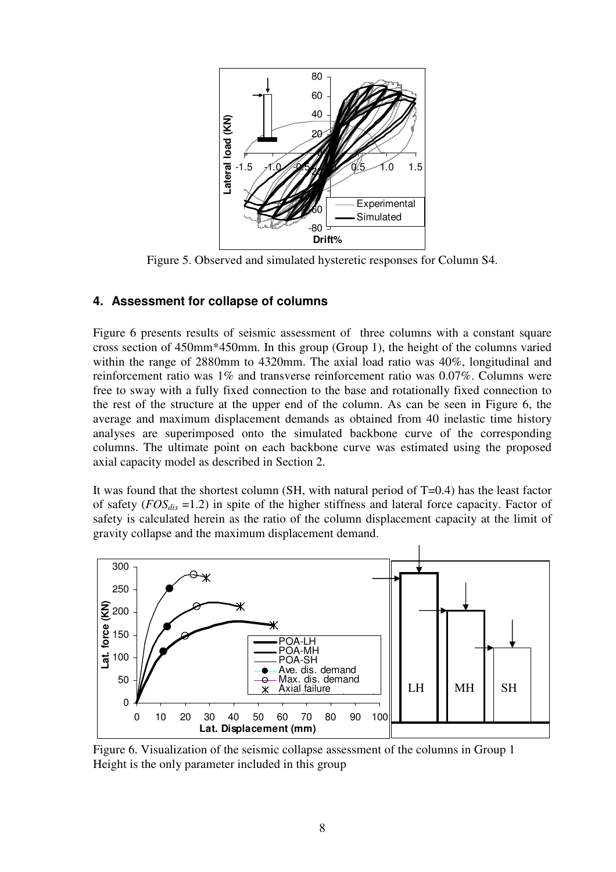

Figure 5. Observed and simulated hysteretic responses for Column S4.

## **4. Assessment for collapse of columns**

Figure 6 presents results of seismic assessment of three columns with a constant square cross section of 450mm\*450mm. In this group (Group 1), the height of the columns varied within the range of 2880mm to 4320mm. The axial load ratio was 40%, longitudinal and reinforcement ratio was 1% and transverse reinforcement ratio was 0.07%. Columns were free to sway with a fully fixed connection to the base and rotationally fixed connection to the rest of the structure at the upper end of the column. As can be seen in Figure 6, the average and maximum displacement demands as obtained from 40 inelastic time history analyses are superimposed onto the simulated backbone curve of the corresponding columns. The ultimate point on each backbone curve was estimated using the proposed axial capacity model as described in Section 2.

It was found that the shortest column (SH, with natural period of T=0.4) has the least factor of safety (*FOSdis* =1.2) in spite of the higher stiffness and lateral force capacity. Factor of safety is calculated herein as the ratio of the column displacement capacity at the limit of gravity collapse and the maximum displacement demand.



Figure 6. Visualization of the seismic collapse assessment of the columns in Group 1 Height is the only parameter included in this group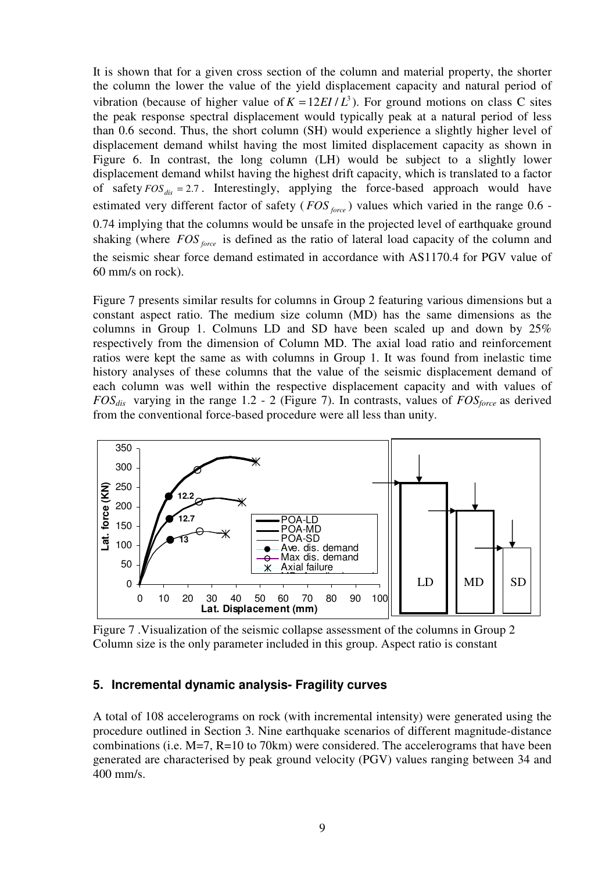It is shown that for a given cross section of the column and material property, the shorter the column the lower the value of the yield displacement capacity and natural period of vibration (because of higher value of  $K = 12EI/L^3$ ). For ground motions on class C sites the peak response spectral displacement would typically peak at a natural period of less than 0.6 second. Thus, the short column (SH) would experience a slightly higher level of displacement demand whilst having the most limited displacement capacity as shown in Figure 6. In contrast, the long column (LH) would be subject to a slightly lower displacement demand whilst having the highest drift capacity, which is translated to a factor of safety  $FOS_{dis} = 2.7$ . Interestingly, applying the force-based approach would have estimated very different factor of safety (*FOS force*) values which varied in the range 0.6 -0.74 implying that the columns would be unsafe in the projected level of earthquake ground shaking (where *FOS force* is defined as the ratio of lateral load capacity of the column and the seismic shear force demand estimated in accordance with AS1170.4 for PGV value of 60 mm/s on rock).

Figure 7 presents similar results for columns in Group 2 featuring various dimensions but a constant aspect ratio. The medium size column (MD) has the same dimensions as the columns in Group 1. Colmuns LD and SD have been scaled up and down by 25% respectively from the dimension of Column MD. The axial load ratio and reinforcement ratios were kept the same as with columns in Group 1. It was found from inelastic time history analyses of these columns that the value of the seismic displacement demand of each column was well within the respective displacement capacity and with values of *FOSdis* varying in the range 1.2 - 2 (Figure 7). In contrasts, values of *FOSforce* as derived from the conventional force-based procedure were all less than unity.



Figure 7 .Visualization of the seismic collapse assessment of the columns in Group 2 Column size is the only parameter included in this group. Aspect ratio is constant

## **5. Incremental dynamic analysis- Fragility curves**

A total of 108 accelerograms on rock (with incremental intensity) were generated using the procedure outlined in Section 3. Nine earthquake scenarios of different magnitude-distance combinations (i.e. M=7, R=10 to 70km) were considered. The accelerograms that have been generated are characterised by peak ground velocity (PGV) values ranging between 34 and 400 mm/s.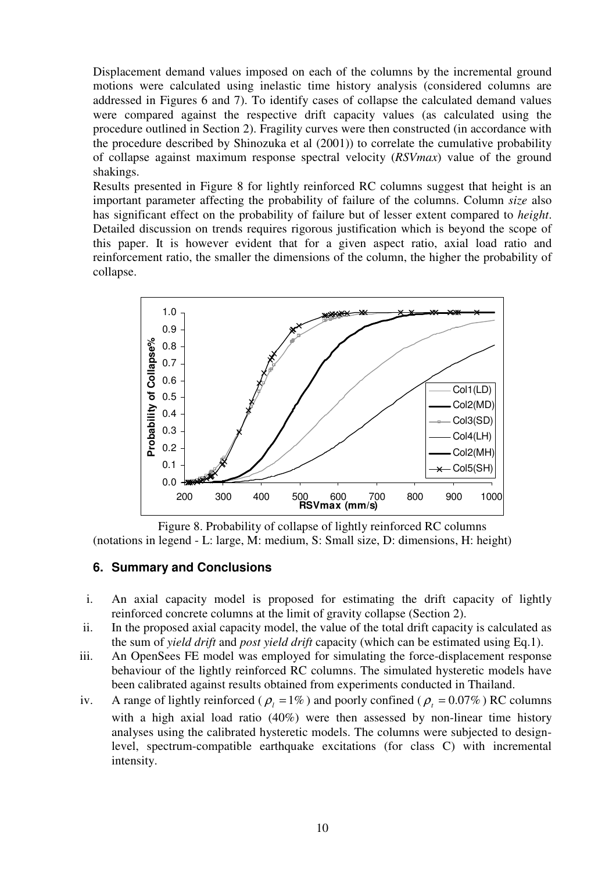Displacement demand values imposed on each of the columns by the incremental ground motions were calculated using inelastic time history analysis (considered columns are addressed in Figures 6 and 7). To identify cases of collapse the calculated demand values were compared against the respective drift capacity values (as calculated using the procedure outlined in Section 2). Fragility curves were then constructed (in accordance with the procedure described by Shinozuka et al (2001)) to correlate the cumulative probability of collapse against maximum response spectral velocity (*RSVmax*) value of the ground shakings.

Results presented in Figure 8 for lightly reinforced RC columns suggest that height is an important parameter affecting the probability of failure of the columns. Column *size* also has significant effect on the probability of failure but of lesser extent compared to *height*. Detailed discussion on trends requires rigorous justification which is beyond the scope of this paper. It is however evident that for a given aspect ratio, axial load ratio and reinforcement ratio, the smaller the dimensions of the column, the higher the probability of collapse.



Figure 8. Probability of collapse of lightly reinforced RC columns (notations in legend - L: large, M: medium, S: Small size, D: dimensions, H: height)

## **6. Summary and Conclusions**

- i. An axial capacity model is proposed for estimating the drift capacity of lightly reinforced concrete columns at the limit of gravity collapse (Section 2).
- ii. In the proposed axial capacity model, the value of the total drift capacity is calculated as the sum of *yield drift* and *post yield drift* capacity (which can be estimated using Eq.1).
- iii. An OpenSees FE model was employed for simulating the force-displacement response behaviour of the lightly reinforced RC columns. The simulated hysteretic models have been calibrated against results obtained from experiments conducted in Thailand.
- iv. A range of lightly reinforced ( $\rho_l = 1\%$ ) and poorly confined ( $\rho_t = 0.07\%$ ) RC columns with a high axial load ratio (40%) were then assessed by non-linear time history analyses using the calibrated hysteretic models. The columns were subjected to designlevel, spectrum-compatible earthquake excitations (for class C) with incremental intensity.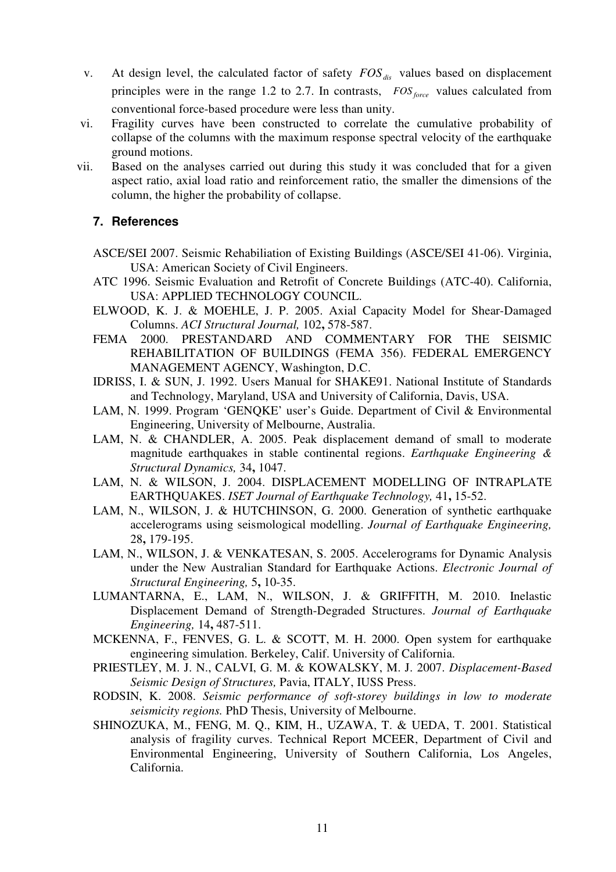- v. At design level, the calculated factor of safety *FOSdis* values based on displacement principles were in the range 1.2 to 2.7. In contrasts, *FOS force* values calculated from conventional force-based procedure were less than unity.
- vi. Fragility curves have been constructed to correlate the cumulative probability of collapse of the columns with the maximum response spectral velocity of the earthquake ground motions.
- vii. Based on the analyses carried out during this study it was concluded that for a given aspect ratio, axial load ratio and reinforcement ratio, the smaller the dimensions of the column, the higher the probability of collapse.

# **7. References**

- ASCE/SEI 2007. Seismic Rehabiliation of Existing Buildings (ASCE/SEI 41-06). Virginia, USA: American Society of Civil Engineers.
- ATC 1996. Seismic Evaluation and Retrofit of Concrete Buildings (ATC-40). California, USA: APPLIED TECHNOLOGY COUNCIL.
- ELWOOD, K. J. & MOEHLE, J. P. 2005. Axial Capacity Model for Shear-Damaged Columns. *ACI Structural Journal,* 102**,** 578-587.
- FEMA 2000. PRESTANDARD AND COMMENTARY FOR THE SEISMIC REHABILITATION OF BUILDINGS (FEMA 356). FEDERAL EMERGENCY MANAGEMENT AGENCY, Washington, D.C.
- IDRISS, I. & SUN, J. 1992. Users Manual for SHAKE91. National Institute of Standards and Technology, Maryland, USA and University of California, Davis, USA.
- LAM, N. 1999. Program 'GENQKE' user's Guide. Department of Civil & Environmental Engineering, University of Melbourne, Australia.
- LAM, N. & CHANDLER, A. 2005. Peak displacement demand of small to moderate magnitude earthquakes in stable continental regions. *Earthquake Engineering & Structural Dynamics,* 34**,** 1047.
- LAM, N. & WILSON, J. 2004. DISPLACEMENT MODELLING OF INTRAPLATE EARTHQUAKES. *ISET Journal of Earthquake Technology,* 41**,** 15-52.
- LAM, N., WILSON, J. & HUTCHINSON, G. 2000. Generation of synthetic earthquake accelerograms using seismological modelling. *Journal of Earthquake Engineering,* 28**,** 179-195.
- LAM, N., WILSON, J. & VENKATESAN, S. 2005. Accelerograms for Dynamic Analysis under the New Australian Standard for Earthquake Actions. *Electronic Journal of Structural Engineering,* 5**,** 10-35.
- LUMANTARNA, E., LAM, N., WILSON, J. & GRIFFITH, M. 2010. Inelastic Displacement Demand of Strength-Degraded Structures. *Journal of Earthquake Engineering,* 14**,** 487-511.
- MCKENNA, F., FENVES, G. L. & SCOTT, M. H. 2000. Open system for earthquake engineering simulation. Berkeley, Calif. University of California.
- PRIESTLEY, M. J. N., CALVI, G. M. & KOWALSKY, M. J. 2007. *Displacement-Based Seismic Design of Structures,* Pavia, ITALY, IUSS Press.
- RODSIN, K. 2008. *Seismic performance of soft-storey buildings in low to moderate seismicity regions.* PhD Thesis, University of Melbourne.
- SHINOZUKA, M., FENG, M. Q., KIM, H., UZAWA, T. & UEDA, T. 2001. Statistical analysis of fragility curves. Technical Report MCEER, Department of Civil and Environmental Engineering, University of Southern California, Los Angeles, California.